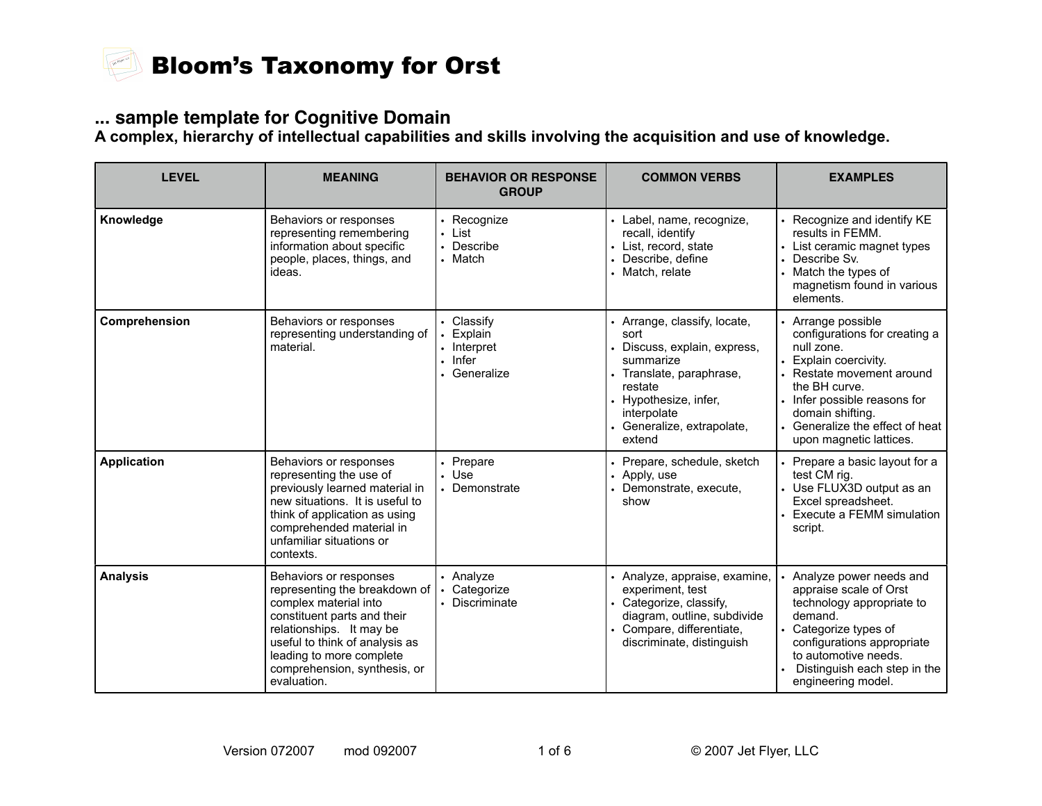

### **... sample template for Cognitive Domain**

**A complex, hierarchy of intellectual capabilities and skills involving the acquisition and use of knowledge.**

| <b>LEVEL</b>       | <b>MEANING</b>                                                                                                                                                                                                                                           | <b>BEHAVIOR OR RESPONSE</b><br><b>GROUP</b>                                    | <b>COMMON VERBS</b>                                                                                                                                                                              | <b>EXAMPLES</b>                                                                                                                                                                                                                                            |
|--------------------|----------------------------------------------------------------------------------------------------------------------------------------------------------------------------------------------------------------------------------------------------------|--------------------------------------------------------------------------------|--------------------------------------------------------------------------------------------------------------------------------------------------------------------------------------------------|------------------------------------------------------------------------------------------------------------------------------------------------------------------------------------------------------------------------------------------------------------|
| Knowledge          | Behaviors or responses<br>representing remembering<br>information about specific<br>people, places, things, and<br>ideas.                                                                                                                                | • Recognize<br>· List<br>• Describe<br>• Match                                 | · Label, name, recognize,<br>recall, identify<br>List, record, state<br>Describe, define<br>• Match, relate                                                                                      | • Recognize and identify KE<br>results in FEMM.<br>• List ceramic magnet types<br>Describe Sv.<br>$\bullet$<br>• Match the types of<br>magnetism found in various<br>elements.                                                                             |
| Comprehension      | Behaviors or responses<br>representing understanding of<br>material.                                                                                                                                                                                     | • Classify<br>• Explain<br>• Interpret<br>$\blacksquare$ Infer<br>• Generalize | Arrange, classify, locate,<br>sort<br>Discuss, explain, express,<br>summarize<br>Translate, paraphrase,<br>restate<br>Hypothesize, infer,<br>interpolate<br>• Generalize, extrapolate,<br>extend | • Arrange possible<br>configurations for creating a<br>null zone.<br>• Explain coercivity.<br>• Restate movement around<br>the BH curve.<br>• Infer possible reasons for<br>domain shifting.<br>• Generalize the effect of heat<br>upon magnetic lattices. |
| <b>Application</b> | Behaviors or responses<br>representing the use of<br>previously learned material in<br>new situations. It is useful to<br>think of application as using<br>comprehended material in<br>unfamiliar situations or<br>contexts.                             | • Prepare<br>. Use<br>• Demonstrate                                            | Prepare, schedule, sketch<br>Apply, use<br>Demonstrate, execute,<br>show                                                                                                                         | • Prepare a basic layout for a<br>test CM rig.<br>• Use FLUX3D output as an<br>Excel spreadsheet.<br>Execute a FEMM simulation<br>script.                                                                                                                  |
| <b>Analysis</b>    | Behaviors or responses<br>representing the breakdown of<br>complex material into<br>constituent parts and their<br>relationships. It may be<br>useful to think of analysis as<br>leading to more complete<br>comprehension, synthesis, or<br>evaluation. | • Analyze<br>• Categorize<br>• Discriminate                                    | Analyze, appraise, examine,<br>experiment, test<br>Categorize, classify,<br>diagram, outline, subdivide<br>Compare, differentiate,<br>discriminate, distinguish                                  | • Analyze power needs and<br>appraise scale of Orst<br>technology appropriate to<br>demand.<br>• Categorize types of<br>configurations appropriate<br>to automotive needs.<br>Distinguish each step in the<br>engineering model.                           |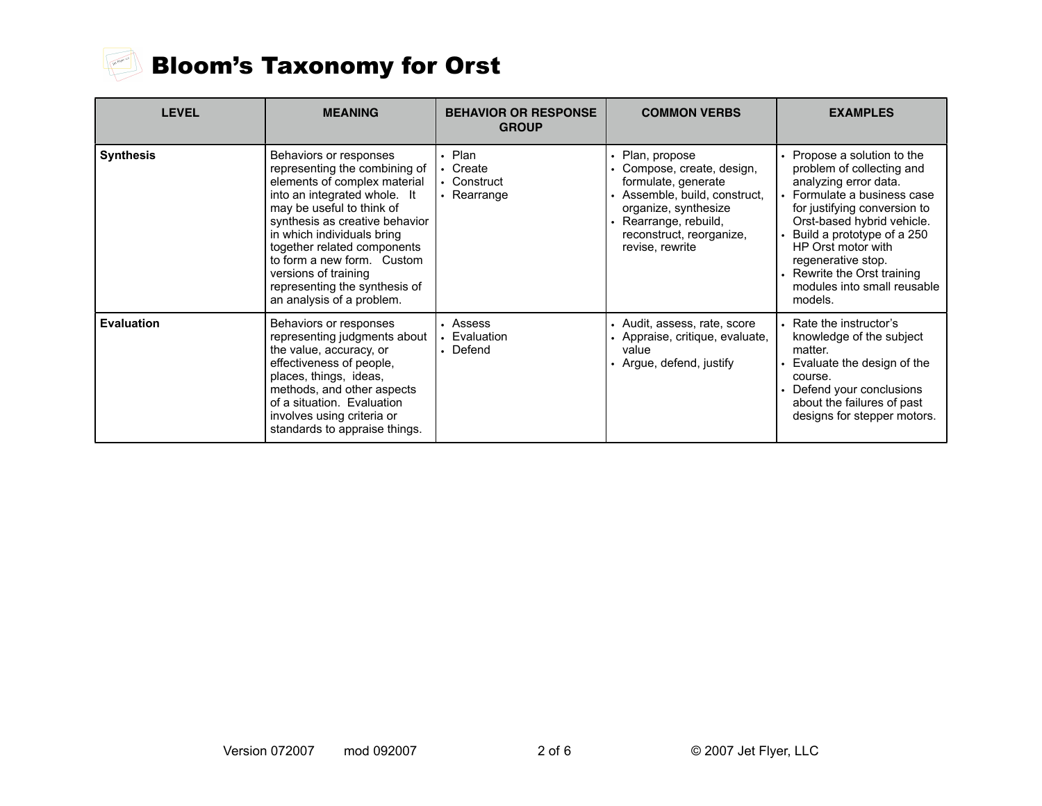

# Bloom's Taxonomy for Orst

| <b>LEVEL</b>      | <b>MEANING</b>                                                                                                                                                                                                                                                                                                                                                          | <b>BEHAVIOR OR RESPONSE</b><br><b>GROUP</b>      | <b>COMMON VERBS</b>                                                                                                                                                                           | <b>EXAMPLES</b>                                                                                                                                                                                                                                                                                                                   |
|-------------------|-------------------------------------------------------------------------------------------------------------------------------------------------------------------------------------------------------------------------------------------------------------------------------------------------------------------------------------------------------------------------|--------------------------------------------------|-----------------------------------------------------------------------------------------------------------------------------------------------------------------------------------------------|-----------------------------------------------------------------------------------------------------------------------------------------------------------------------------------------------------------------------------------------------------------------------------------------------------------------------------------|
| <b>Synthesis</b>  | Behaviors or responses<br>representing the combining of<br>elements of complex material<br>into an integrated whole. It<br>may be useful to think of<br>synthesis as creative behavior<br>in which individuals bring<br>together related components<br>to form a new form. Custom<br>versions of training<br>representing the synthesis of<br>an analysis of a problem. | . Plan<br>• Create<br>• Construct<br>• Rearrange | Plan, propose<br>Compose, create, design,<br>formulate, generate<br>Assemble, build, construct,<br>organize, synthesize<br>Rearrange, rebuild,<br>reconstruct, reorganize,<br>revise, rewrite | • Propose a solution to the<br>problem of collecting and<br>analyzing error data.<br>• Formulate a business case<br>for justifying conversion to<br>Orst-based hybrid vehicle.<br>Build a prototype of a 250<br>HP Orst motor with<br>regenerative stop.<br>• Rewrite the Orst training<br>modules into small reusable<br>models. |
| <b>Evaluation</b> | Behaviors or responses<br>representing judgments about<br>the value, accuracy, or<br>effectiveness of people,<br>places, things, ideas,<br>methods, and other aspects<br>of a situation. Evaluation<br>involves using criteria or<br>standards to appraise things.                                                                                                      | • Assess<br>• Evaluation<br>• Defend             | • Audit, assess, rate, score<br>• Appraise, critique, evaluate,<br>value<br>Argue, defend, justify                                                                                            | • Rate the instructor's<br>knowledge of the subject<br>matter.<br>Evaluate the design of the<br>course.<br>Defend your conclusions<br>about the failures of past<br>designs for stepper motors.                                                                                                                                   |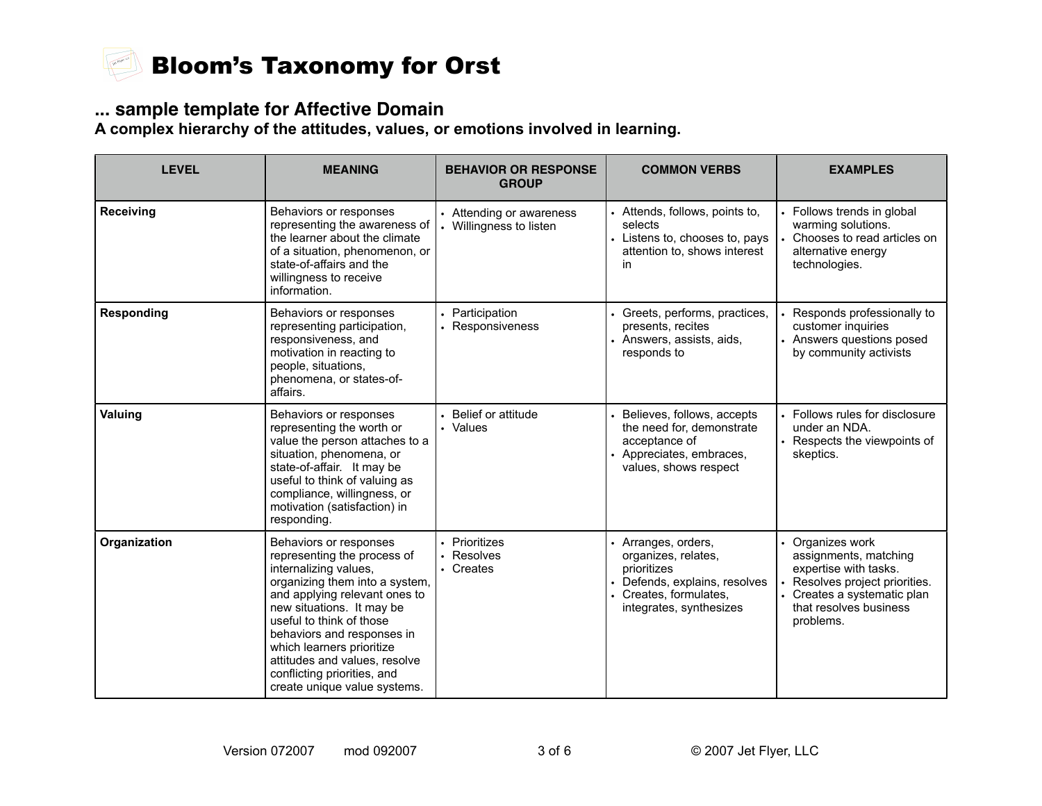

### **... sample template for Affective Domain**

**A complex hierarchy of the attitudes, values, or emotions involved in learning.**

| <b>LEVEL</b>      | <b>MEANING</b>                                                                                                                                                                                                                                                                                                                                                        | <b>BEHAVIOR OR RESPONSE</b><br><b>GROUP</b>       | <b>COMMON VERBS</b>                                                                                                                             | <b>EXAMPLES</b>                                                                                                                                                          |
|-------------------|-----------------------------------------------------------------------------------------------------------------------------------------------------------------------------------------------------------------------------------------------------------------------------------------------------------------------------------------------------------------------|---------------------------------------------------|-------------------------------------------------------------------------------------------------------------------------------------------------|--------------------------------------------------------------------------------------------------------------------------------------------------------------------------|
| Receiving         | Behaviors or responses<br>representing the awareness of<br>the learner about the climate<br>of a situation, phenomenon, or<br>state-of-affairs and the<br>willingness to receive<br>information.                                                                                                                                                                      | • Attending or awareness<br>Willingness to listen | • Attends, follows, points to,<br>selects<br>• Listens to, chooses to, pays<br>attention to, shows interest<br>in                               | • Follows trends in global<br>warming solutions.<br>Chooses to read articles on<br>alternative energy<br>technologies.                                                   |
| <b>Responding</b> | Behaviors or responses<br>representing participation,<br>responsiveness, and<br>motivation in reacting to<br>people, situations,<br>phenomena, or states-of-<br>affairs.                                                                                                                                                                                              | Participation<br>• Responsiveness                 | Greets, performs, practices,<br>presents, recites<br>• Answers, assists, aids,<br>responds to                                                   | Responds professionally to<br>customer inquiries<br>• Answers questions posed<br>by community activists                                                                  |
| Valuing           | Behaviors or responses<br>representing the worth or<br>value the person attaches to a<br>situation, phenomena, or<br>state-of-affair. It may be<br>useful to think of valuing as<br>compliance, willingness, or<br>motivation (satisfaction) in<br>responding.                                                                                                        | Belief or attitude<br>• Values                    | • Believes, follows, accepts<br>the need for, demonstrate<br>acceptance of<br>• Appreciates, embraces,<br>values, shows respect                 | • Follows rules for disclosure<br>under an NDA.<br>• Respects the viewpoints of<br>skeptics.                                                                             |
| Organization      | Behaviors or responses<br>representing the process of<br>internalizing values,<br>organizing them into a system,<br>and applying relevant ones to<br>new situations. It may be<br>useful to think of those<br>behaviors and responses in<br>which learners prioritize<br>attitudes and values, resolve<br>conflicting priorities, and<br>create unique value systems. | • Prioritizes<br>• Resolves<br>• Creates          | • Arranges, orders,<br>organizes, relates,<br>prioritizes<br>• Defends, explains, resolves<br>• Creates, formulates,<br>integrates, synthesizes | • Organizes work<br>assignments, matching<br>expertise with tasks.<br>Resolves project priorities.<br>• Creates a systematic plan<br>that resolves business<br>problems. |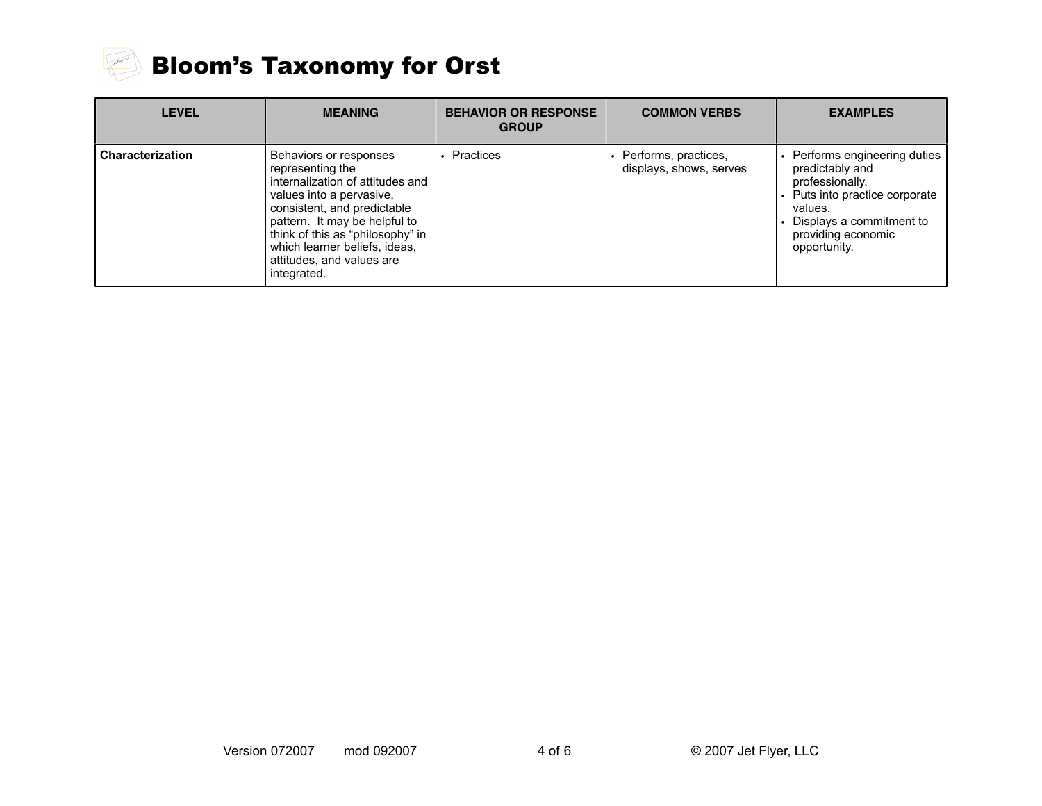

# Bloom's Taxonomy for Orst

| <b>LEVEL</b>            | <b>MEANING</b>                                                                                                                                                                                                                                                                              | <b>BEHAVIOR OR RESPONSE</b><br><b>GROUP</b> | <b>COMMON VERBS</b>                             | <b>EXAMPLES</b>                                                                                                                                                                    |
|-------------------------|---------------------------------------------------------------------------------------------------------------------------------------------------------------------------------------------------------------------------------------------------------------------------------------------|---------------------------------------------|-------------------------------------------------|------------------------------------------------------------------------------------------------------------------------------------------------------------------------------------|
| <b>Characterization</b> | Behaviors or responses<br>representing the<br>internalization of attitudes and<br>values into a pervasive,<br>consistent, and predictable<br>pattern. It may be helpful to<br>think of this as "philosophy" in<br>which learner beliefs, ideas,<br>attitudes, and values are<br>integrated. | Practices                                   | Performs, practices,<br>displays, shows, serves | • Performs engineering duties<br>predictably and<br>professionally.<br>• Puts into practice corporate<br>values.<br>Displays a commitment to<br>providing economic<br>opportunity. |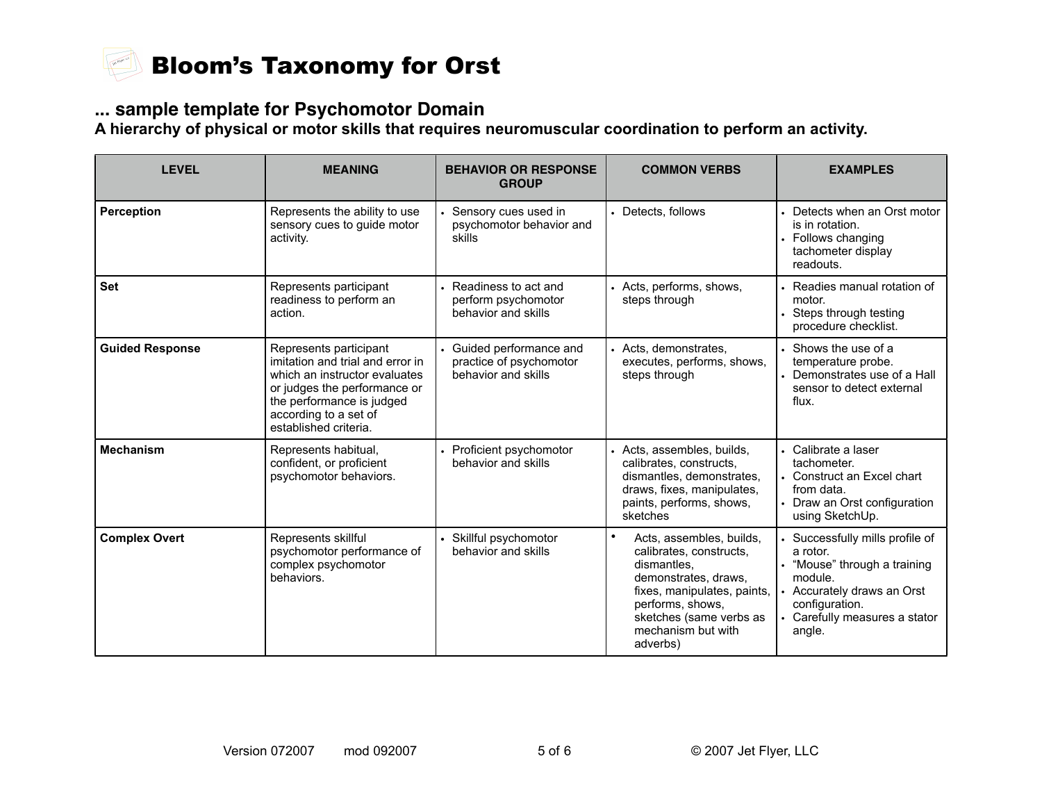

### **... sample template for Psychomotor Domain**

**A hierarchy of physical or motor skills that requires neuromuscular coordination to perform an activity.**

| <b>LEVEL</b>           | <b>MEANING</b>                                                                                                                                                                                             | <b>BEHAVIOR OR RESPONSE</b><br><b>GROUP</b>                              | <b>COMMON VERBS</b>                                                                                                                                                                                                     | <b>EXAMPLES</b>                                                                                                                                                               |
|------------------------|------------------------------------------------------------------------------------------------------------------------------------------------------------------------------------------------------------|--------------------------------------------------------------------------|-------------------------------------------------------------------------------------------------------------------------------------------------------------------------------------------------------------------------|-------------------------------------------------------------------------------------------------------------------------------------------------------------------------------|
| <b>Perception</b>      | Represents the ability to use<br>sensory cues to guide motor<br>activity.                                                                                                                                  | Sensory cues used in<br>psychomotor behavior and<br>skills               | • Detects, follows                                                                                                                                                                                                      | • Detects when an Orst motor<br>is in rotation.<br>• Follows changing<br>tachometer display<br>readouts.                                                                      |
| <b>Set</b>             | Represents participant<br>readiness to perform an<br>action.                                                                                                                                               | Readiness to act and<br>perform psychomotor<br>behavior and skills       | • Acts, performs, shows,<br>steps through                                                                                                                                                                               | • Readies manual rotation of<br>motor.<br>Steps through testing<br>procedure checklist.                                                                                       |
| <b>Guided Response</b> | Represents participant<br>imitation and trial and error in<br>which an instructor evaluates<br>or judges the performance or<br>the performance is judged<br>according to a set of<br>established criteria. | Guided performance and<br>practice of psychomotor<br>behavior and skills | • Acts, demonstrates,<br>executes, performs, shows,<br>steps through                                                                                                                                                    | • Shows the use of a<br>temperature probe.<br>• Demonstrates use of a Hall<br>sensor to detect external<br>flux.                                                              |
| <b>Mechanism</b>       | Represents habitual,<br>confident, or proficient<br>psychomotor behaviors.                                                                                                                                 | Proficient psychomotor<br>behavior and skills                            | • Acts, assembles, builds,<br>calibrates, constructs,<br>dismantles, demonstrates,<br>draws, fixes, manipulates,<br>paints, performs, shows,<br>sketches                                                                | • Calibrate a laser<br>tachometer.<br>• Construct an Excel chart<br>from data.<br>• Draw an Orst configuration<br>using SketchUp.                                             |
| <b>Complex Overt</b>   | Represents skillful<br>psychomotor performance of<br>complex psychomotor<br>behaviors.                                                                                                                     | Skillful psychomotor<br>behavior and skills                              | $\bullet$<br>Acts, assembles, builds,<br>calibrates, constructs,<br>dismantles,<br>demonstrates, draws,<br>fixes, manipulates, paints,<br>performs, shows,<br>sketches (same verbs as<br>mechanism but with<br>adverbs) | Successfully mills profile of<br>a rotor.<br>"Mouse" through a training<br>module.<br>• Accurately draws an Orst<br>configuration.<br>• Carefully measures a stator<br>angle. |